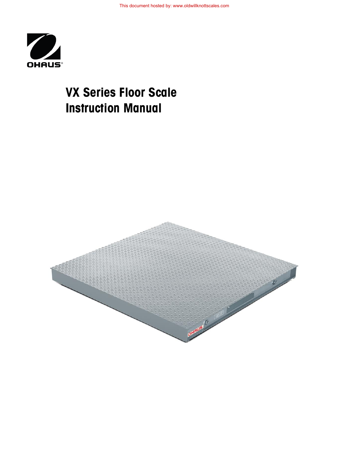

# **VX Series Floor Scale Instruction Manual**

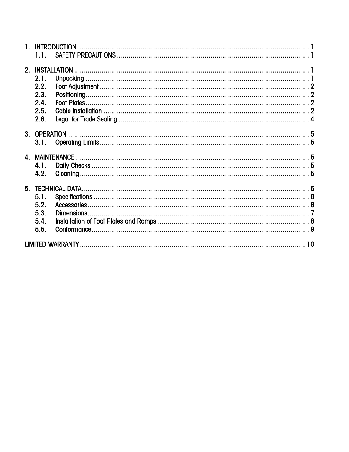| 1.1.             |  |
|------------------|--|
|                  |  |
| 2.1.             |  |
|                  |  |
| 2.2.             |  |
| 2.3.             |  |
| 2.4.             |  |
| 2.5.             |  |
| 2.6.             |  |
|                  |  |
|                  |  |
| 3.1.             |  |
|                  |  |
| 4.1.             |  |
| 4.2 <sub>1</sub> |  |
|                  |  |
|                  |  |
| 5.1.             |  |
| 5.2.             |  |
| 5.3.             |  |
| 5.4.             |  |
| 5.5.             |  |
|                  |  |
|                  |  |
|                  |  |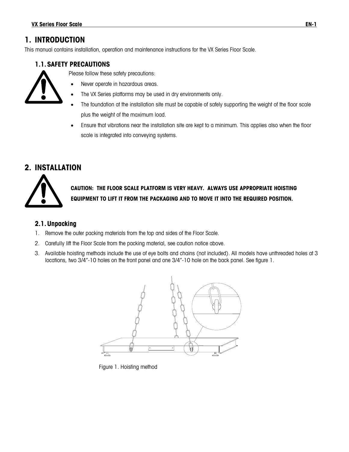# <span id="page-4-0"></span>**1. INTRODUCTION**

<span id="page-4-1"></span>This manual contains installation, operation and maintenance instructions for the VX Series Floor Scale.

## **1.1.SAFETY PRECAUTIONS**



- Please follow these safety precautions:
	- Never operate in hazardous areas.
- The VX Series platforms may be used in dry environments only.
- The foundation at the installation site must be capable of safely supporting the weight of the floor scale plus the weight of the maximum load.
- Ensure that vibrations near the installation site are kept to a minimum. This applies also when the floor scale is integrated into conveying systems.

# <span id="page-4-2"></span>**2. INSTALLATION**



**CAUTION: THE FLOOR SCALE PLATFORM IS VERY HEAVY. ALWAYS USE APPROPRIATE HOISTING EQUIPMENT TO LIFT IT FROM THE PACKAGING AND TO MOVE IT INTO THE REQUIRED POSITION.**

### <span id="page-4-3"></span>**2.1.Unpacking**

- 1. Remove the outer packing materials from the top and sides of the Floor Scale.
- 2. Carefully lift the Floor Scale from the packing material, see caution notice above.
- 3. Available hoisting methods include the use of eye bolts and chains (not included). All models have unthreaded holes at 3 locations, two 3/4"-10 holes on the front panel and one 3/4"-10 hole on the back panel. See figure 1.



Figure 1. Hoisting method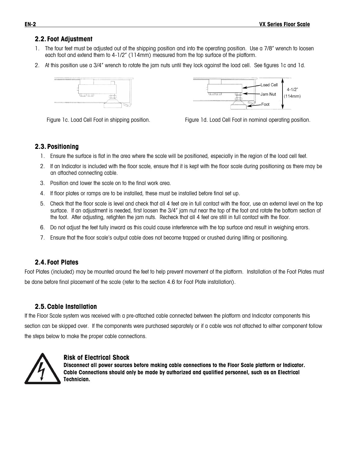#### <span id="page-5-0"></span>**2.2. Foot Adjustment**

- 1. The four feet must be adjusted out of the shipping position and into the operating position. Use a 7/8" wrench to loosen each foot and extend them to 4-1/2" (114mm) measured from the top surface of the platform.
- 2. At this position use a 3/4" wrench to rotate the jam nuts until they lock against the load cell. See figures 1c and 1d.





Figure 1c. Load Cell Foot in shipping position. Figure 1d. Load Cell Foot in nominal operating position.

#### <span id="page-5-1"></span>**2.3.Positioning**

- 1. Ensure the surface is flat in the area where the scale will be positioned, especially in the region of the load cell feet.
- 2. If an Indicator is included with the floor scale, ensure that it is kept with the floor scale during positioning as there may be an attached connecting cable.
- 3. Position and lower the scale on to the final work area.
- 4. If floor plates or ramps are to be installed, these must be installed before final set up.
- 5. Check that the floor scale is level and check that all 4 feet are in full contact with the floor, use an external level on the top surface. If an adjustment is needed, first loosen the 3/4" jam nut near the top of the foot and rotate the bottom section of the foot. After adjusting, retighten the jam nuts. Recheck that all 4 feet are still in full contact with the floor.
- 6. Do not adjust the feet fully inward as this could cause interference with the top surface and result in weighing errors.
- 7. Ensure that the floor scale's output cable does not become trapped or crushed during lifting or positioning.

#### <span id="page-5-2"></span>**2.4. Foot Plates**

Foot Plates (included) may be mounted around the feet to help prevent movement of the platform. Installation of the Foot Plates must be done before final placement of the scale (refer to the section 4.6 for Foot Plate installation).

#### <span id="page-5-3"></span>**2.5.Cable Installation**

If the Floor Scale system was received with a pre-attached cable connected between the platform and Indicator components this section can be skipped over. If the components were purchased separately or if a cable was not attached to either component follow the steps below to make the proper cable connections.



#### **Risk of Electrical Shock**

**Disconnect all power sources before making cable connections to the Floor Scale platform or Indicator. Cable Connections should only be made by authorized and qualified personnel, such as an Electrical Technician.**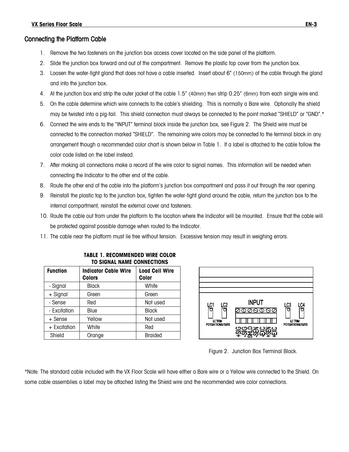## Connecting the Platform Cable

- 1. Remove the two fasteners on the junction box access cover located on the side panel of the platform.
- 2. Slide the junction box forward and out of the compartment. Remove the plastic top cover from the junction box.
- 3. Loosen the water-tight gland that does not have a cable inserted. Insert about 6" (150mm) of the cable through the gland and into the junction box.
- 4. At the junction box end strip the outer jacket of the cable 1.5" (40mm) then strip 0.25" (6mm) from each single wire end.
- 5. On the cable determine which wire connects to the cable's shielding. This is normally a Bare wire. Optionally the shield may be twisted into a pig-tail. This shield connection must always be connected to the point marked "SHIELD" or "GND".\*
- 6. Connect the wire ends to the "INPUT" terminal block inside the junction box, see Figure 2. The Shield wire must be connected to the connection marked "SHIELD". The remaining wire colors may be connected to the terminal block in any arrangement though a recommended color chart is shown below in Table 1. If a label is attached to the cable follow the color code listed on the label instead.
- 7. After making all connections make a record of the wire color to signal names. This information will be needed when connecting the Indicator to the other end of the cable.
- 8. Route the other end of the cable into the platform's junction box compartment and pass it out through the rear opening.
- 9. Reinstall the plastic top to the junction box, tighten the water-tight gland around the cable, return the junction box to the internal compartment, reinstall the external cover and fasteners.
- 10. Route the cable out from under the platform to the location where the Indicator will be mounted. Ensure that the cable will be protected against possible damage when routed to the Indicator.
- 11. The cable near the platform must lie free without tension. Excessive tension may result in weighing errors.

| <b>Function</b> | <b>Indicator Cable Wire</b><br><b>Colors</b> | <b>Load Cell Wire</b><br>Color |  |  |
|-----------------|----------------------------------------------|--------------------------------|--|--|
| - Signal        | <b>Black</b>                                 | White                          |  |  |
| $+$ Signal      | Green                                        | Green                          |  |  |
| - Sense         | Red                                          | Not used                       |  |  |
| - Excitation    | Blue                                         | <b>Black</b>                   |  |  |
| $+$ Sense       | Yellow                                       | Not used                       |  |  |
| + Excitation    | White                                        | Red                            |  |  |
| Shield          | Orange                                       | <b>Braided</b>                 |  |  |
|                 |                                              |                                |  |  |

**TABLE 1. RECOMMENDED WIRE COLOR TO SIGNAL NAME CONNECTIONS**



Figure 2. Junction Box Terminal Block.

\*Note: The standard cable included with the VX Floor Scale will have either a Bare wire or a Yellow wire connected to the Shield. On some cable assemblies a label may be attached listing the Shield wire and the recommended wire color connections.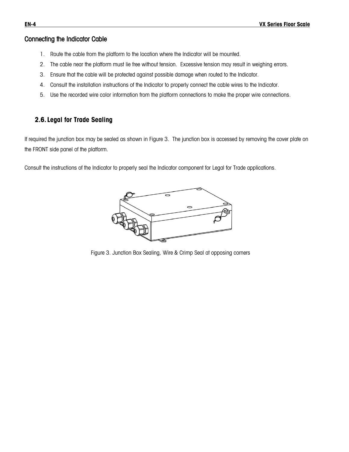#### Connecting the Indicator Cable

- 1. Route the cable from the platform to the location where the Indicator will be mounted.
- 2. The cable near the platform must lie free without tension. Excessive tension may result in weighing errors.
- 3. Ensure that the cable will be protected against possible damage when routed to the Indicator.
- 4. Consult the installation instructions of the Indicator to properly connect the cable wires to the Indicator.
- 5. Use the recorded wire color information from the platform connections to make the proper wire connections.

#### <span id="page-7-0"></span>**2.6. Legal for Trade Sealing**

If required the junction box may be sealed as shown in Figure 3. The junction box is accessed by removing the cover plate on the FRONT side panel of the platform.

Consult the instructions of the Indicator to properly seal the Indicator component for Legal for Trade applications.



Figure 3. Junction Box Sealing, Wire & Crimp Seal at opposing corners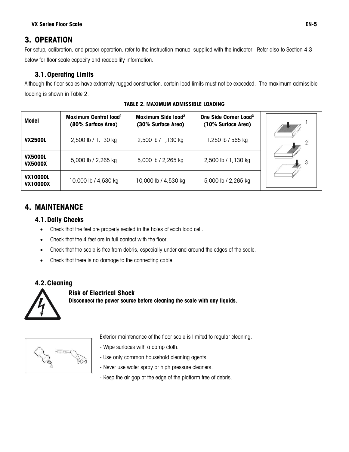# <span id="page-8-0"></span>**3. OPERATION**

For setup, calibration, and proper operation, refer to the instruction manual supplied with the indicator. Refer also to Section 4.3 below for floor scale capacity and readability information.

## <span id="page-8-1"></span>**3.1.Operating Limits**

Although the floor scales have extremely rugged construction, certain load limits must not be exceeded. The maximum admissible loading is shown in Table 2.

**Model Maximum Central load<sup>1</sup> Maximum Side load<sup>2</sup> One Side Corner Load<sup>3</sup> (80% Surface Area) (30% Surface Area) (10% Surface Area) VX2500L** 2,500 lb / 1,130 kg  $\vert$  2,500 lb / 1,130 kg  $\vert$  1,250 lb / 565 kg  $\overline{2}$ **VX5000L VX5000L** 5,000 lb / 2,265 kg 5,000 lb / 2,265 kg 2,500 lb / 1,130 kg 3 **VX10000L VX10000X** 10,000 lb / 4,530 kg 10,000 lb / 4,530 kg 5,000 lb / 2,265 kg

#### **TABLE 2. MAXIMUM ADMISSIBLE LOADING**

# <span id="page-8-3"></span><span id="page-8-2"></span>**4. MAINTENANCE**

#### **4.1.Daily Checks**

- Check that the feet are properly seated in the holes of each load cell.
- Check that the 4 feet are in full contact with the floor.
- Check that the scale is free from debris, especially under and around the edges of the scale.
- Check that there is no damage to the connecting cable.

## **4.2.Cleaning**

<span id="page-8-4"></span>

## **Risk of Electrical Shock**

**Disconnect the power source before cleaning the scale with any liquids.**



- Exterior maintenance of the floor scale is limited to regular cleaning.
- Wipe surfaces with a damp cloth.
- Use only common household cleaning agents.
- Never use water spray or high pressure cleaners.
- Keep the air gap at the edge of the platform free of debris.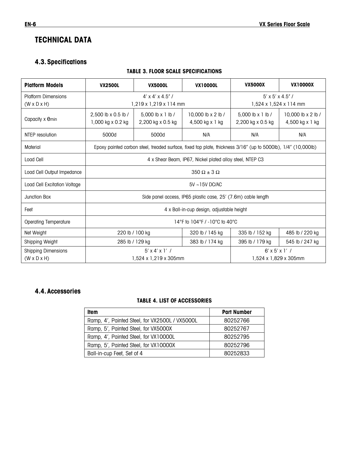# <span id="page-9-0"></span>**TECHNICAL DATA**

# <span id="page-9-1"></span>**4.3.Specifications**

#### **TABLE 3. FLOOR SCALE SPECIFICATIONS**

| <b>Platform Models</b>       | <b>VX2500L</b>                                                                                                | <b>VX5000L</b>                               | <b>VX10000L</b>                         | <b>VX5000X</b>                               | <b>VX10000X</b>                       |  |
|------------------------------|---------------------------------------------------------------------------------------------------------------|----------------------------------------------|-----------------------------------------|----------------------------------------------|---------------------------------------|--|
| <b>Platform Dimensions</b>   |                                                                                                               | $4' \times 4' \times 4.5''$                  | $5'$ x $5'$ x 4.5" /                    |                                              |                                       |  |
| $(W \times D \times H)$      |                                                                                                               | $1,219 \times 1,219 \times 114$ mm           | 1,524 x 1,524 x 114 mm                  |                                              |                                       |  |
| Capacity x emin              | 2,500 lb x 0.5 lb /<br>1,000 kg x 0.2 kg                                                                      | 5.000 $\ln x$ 1 $\ln l$<br>2,200 kg x 0.5 kg | 10,000 lb x 2 lb /<br>$4,500$ kg x 1 kg | 5.000 $\ln x$ 1 $\ln l$<br>2,200 kg x 0.5 kg | 10,000 lb x 2 lb /<br>4,500 kg x 1 kg |  |
| NTEP resolution              | 5000d                                                                                                         | 5000d                                        | N/A                                     | N/A                                          | N/A                                   |  |
| Material                     | Epoxy painted carbon steel, treaded surface, fixed top plate, thickness 3/16" (up to 5000lb), 1/4" (10,000lb) |                                              |                                         |                                              |                                       |  |
| Load Cell                    | 4 x Shear Beam, IP67, Nickel plated alloy steel, NTEP C3                                                      |                                              |                                         |                                              |                                       |  |
| Load Cell Output Impedance   | $350 \Omega \pm 3 \Omega$                                                                                     |                                              |                                         |                                              |                                       |  |
| Load Cell Excitation Voltage | $5V \sim 15V$ DC/AC                                                                                           |                                              |                                         |                                              |                                       |  |
| Junction Box                 | Side panel access, IP65 plastic case, 25' (7.6m) cable length                                                 |                                              |                                         |                                              |                                       |  |
| Feet                         | 4 x Ball-in-cup design, adjustable height                                                                     |                                              |                                         |                                              |                                       |  |
| <b>Operating Temperature</b> | 14°F to 104°F / -10°C to 40°C                                                                                 |                                              |                                         |                                              |                                       |  |
| Net Weight                   | 220 lb / 100 kg                                                                                               |                                              | 320 lb / 145 kg                         | 335 lb / 152 kg                              | 485 lb / 220 kg                       |  |
| Shipping Weight              | 285 lb / 129 kg                                                                                               |                                              | 383 lb / 174 kg                         | 395 lb / 179 ka                              | 545 lb / 247 kg                       |  |
| <b>Shipping Dimensions</b>   | $5'$ x 4' x 1' /                                                                                              |                                              |                                         | $6'$ x $5'$ x 1' /                           |                                       |  |
| $(W \times D \times H)$      | 1,524 x 1,219 x 305mm                                                                                         |                                              |                                         | 1,524 x 1,829 x 305mm                        |                                       |  |

## <span id="page-9-2"></span>**4.4.Accessories**

#### **TABLE 4. LIST OF ACCESSORIES**

| ltem                                           | <b>Part Number</b> |
|------------------------------------------------|--------------------|
| Ramp, 4', Painted Steel, for VX2500L / VX5000L | 80252766           |
| Ramp, 5', Painted Steel, for VX5000X           | 80252767           |
| Ramp, 4', Painted Steel, for VX10000L          | 80252795           |
| Ramp, 5', Painted Steel, for VX10000X          | 80252796           |
| Ball-in-cup Feet, Set of 4                     | 80252833           |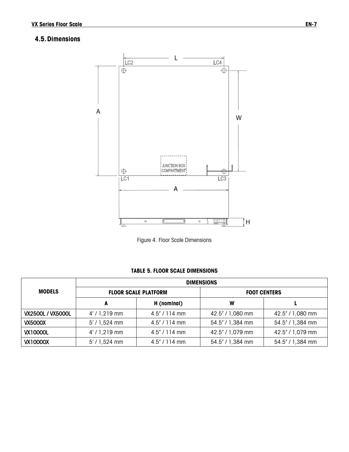# <span id="page-10-0"></span>**4.5.Dimensions**



Figure 4. Floor Scale Dimensions

#### **TABLE 5. FLOOR SCALE DIMENSIONS**

|                          | <b>DIMENSIONS</b> |                             |                     |                  |  |  |
|--------------------------|-------------------|-----------------------------|---------------------|------------------|--|--|
| <b>MODELS</b>            |                   | <b>FLOOR SCALE PLATFORM</b> | <b>FOOT CENTERS</b> |                  |  |  |
|                          | A                 | H (nominal)                 | W                   |                  |  |  |
| <b>VX2500L / VX5000L</b> | $4'/1,219$ mm     | $4.5'' / 114$ mm            | 42.5" / 1,080 mm    | 42.5" / 1,080 mm |  |  |
| <b>VX5000X</b>           | $5'$ / 1,524 mm   | $4.5'' / 114$ mm            | 54.5" / 1,384 mm    | 54.5" / 1,384 mm |  |  |
| <b>VX10000L</b>          | $4'/1,219$ mm     | $4.5'' / 114$ mm            | 42.5" / 1,079 mm    | 42.5" / 1,079 mm |  |  |
| <b>VX10000X</b>          | $5'$ / 1,524 mm   | $4.5'' / 114$ mm            | 54.5" / 1,384 mm    | 54.5" / 1,384 mm |  |  |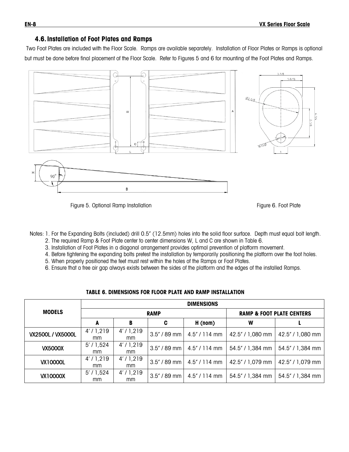#### **4.6.Installation of Foot Plates and Ramps**

<span id="page-11-0"></span>Two Foot Plates are included with the Floor Scale. Ramps are available separately. Installation of Floor Plates or Ramps is optional but must be done before final placement of the Floor Scale. Refer to Figures 5 and 6 for mounting of the Foot Plates and Ramps.



Figure 5. Optional Ramp Installation Figure 6. Foot Plate Communication Figure 6. Foot Plate

Notes: 1. For the Expanding Bolts (included) drill 0.5" (12.5mm) holes into the solid floor surface. Depth must equal bolt length. 2. The required Ramp & Foot Plate center to center dimensions W, L and C are shown in Table 6.

- 3. Installation of Foot Plates in a diagonal arrangement provides optimal prevention of platform movement.
- 4. Before tightening the expanding bolts pretest the installation by temporarily positioning the platform over the foot holes.
- 5. When properly positioned the feet must rest within the holes of the Ramps or Foot Plates.
- 6. Ensure that a free air gap always exists between the sides of the platform and the edges of the installed Ramps.

|                   | <b>DIMENSIONS</b>         |                |   |                                      |                     |                  |
|-------------------|---------------------------|----------------|---|--------------------------------------|---------------------|------------------|
| <b>MODELS</b>     | <b>RAMP</b>               |                |   | <b>RAMP &amp; FOOT PLATE CENTERS</b> |                     |                  |
|                   | A                         | В              | C | H (nom)                              | W                   |                  |
| VX2500L / VX5000L | 4'/1,219<br><sub>mm</sub> | 4'/1,219<br>mm |   | $3.5''$ / 89 mm   4.5" / 114 mm      | 42.5" / 1,080 mm    | 42.5" / 1,080 mm |
| <b>VX5000X</b>    | $5'$ / 1,524<br>mm        | 4'/1,219<br>mm |   | $3.5''/89$ mm   4.5" / 114 mm        | 54.5" / 1,384 mm    | 54.5" / 1,384 mm |
| <b>VX10000L</b>   | 4'/1,219<br>mm            | 4'/1,219<br>mm |   | $3.5''/89$ mm   4.5" / 114 mm        | 42.5" / 1,079 mm    | 42.5" / 1,079 mm |
| <b>VX10000X</b>   | $5'$ / 1,524<br>mm        | 4'/1,219<br>mm |   | $3.5''/89$ mm   4.5" / 114 mm        | $54.5'' / 1,384$ mm | 54.5" / 1,384 mm |

#### **TABLE 6. DIMENSIONS FOR FLOOR PLATE AND RAMP INSTALLATION**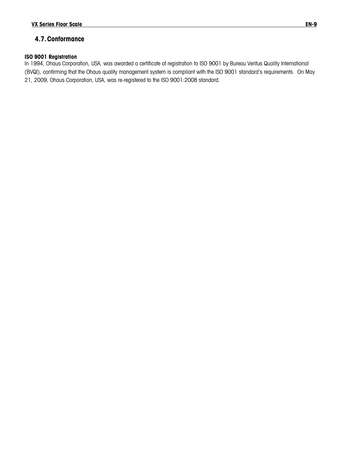## <span id="page-12-1"></span><span id="page-12-0"></span>**4.7.Conformance**

#### **ISO 9001 Registration**

In 1994, Ohaus Corporation, USA, was awarded a certificate of registration to ISO 9001 by Bureau Veritus Quality International (BVQI), confirming that the Ohaus quality management system is compliant with the ISO 9001 standard's requirements. On May 21, 2009, Ohaus Corporation, USA, was re-registered to the ISO 9001:2008 standard.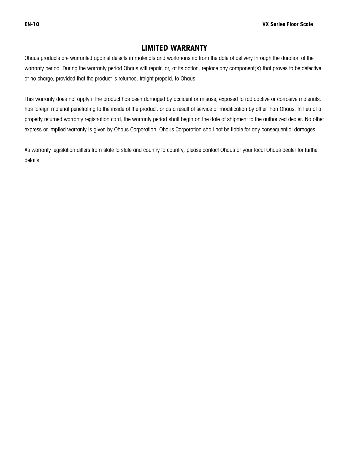# **LIMITED WARRANTY**

Ohaus products are warranted against defects in materials and workmanship from the date of delivery through the duration of the warranty period. During the warranty period Ohaus will repair, or, at its option, replace any component(s) that proves to be defective at no charge, provided that the product is returned, freight prepaid, to Ohaus.

This warranty does not apply if the product has been damaged by accident or misuse, exposed to radioactive or corrosive materials, has foreign material penetrating to the inside of the product, or as a result of service or modification by other than Ohaus. In lieu of a properly returned warranty registration card, the warranty period shall begin on the date of shipment to the authorized dealer. No other express or implied warranty is given by Ohaus Corporation. Ohaus Corporation shall not be liable for any consequential damages.

As warranty legislation differs from state to state and country to country, please contact Ohaus or your local Ohaus dealer for further details.